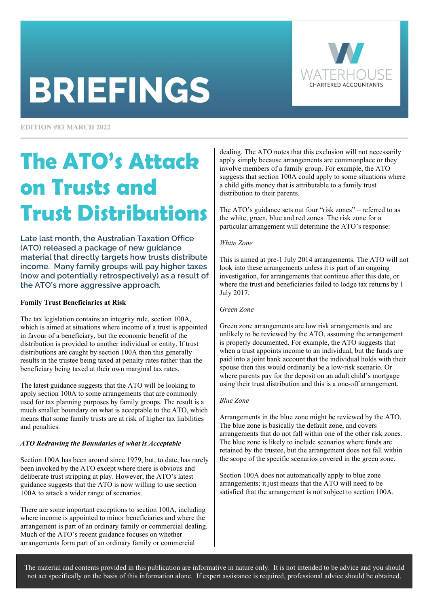# **BRIEFINGS**



**EDITION #83 MARCH 2022** 

# The ATO's Attack on Trusts and Trust Distributions

Late last month, the Australian Taxation Office (ATO) released a package of new guidance material that directly targets how trusts distribute income. Many family groups will pay higher taxes (now and potentially retrospectively) as a result of the ATO's more aggressive approach.

#### Family Trust Beneficiaries at Risk

The tax legislation contains an integrity rule, section 100A, which is aimed at situations where income of a trust is appointed in favour of a beneficiary, but the economic benefit of the distribution is provided to another individual or entity. If trust distributions are caught by section 100A then this generally results in the trustee being taxed at penalty rates rather than the beneficiary being taxed at their own marginal tax rates.

The latest guidance suggests that the ATO will be looking to apply section 100A to some arrangements that are commonly used for tax planning purposes by family groups. The result is a much smaller boundary on what is acceptable to the ATO, which means that some family trusts are at risk of higher tax liabilities and penalties.

#### ATO Redrawing the Boundaries of what is Acceptable

Section 100A has been around since 1979, but, to date, has rarely been invoked by the ATO except where there is obvious and deliberate trust stripping at play. However, the ATO's latest guidance suggests that the ATO is now willing to use section 100A to attack a wider range of scenarios.

There are some important exceptions to section 100A, including where income is appointed to minor beneficiaries and where the arrangement is part of an ordinary family or commercial dealing. Much of the ATO's recent guidance focuses on whether arrangements form part of an ordinary family or commercial

dealing. The ATO notes that this exclusion will not necessarily apply simply because arrangements are commonplace or they involve members of a family group. For example, the ATO suggests that section 100A could apply to some situations where a child gifts money that is attributable to a family trust distribution to their parents.

The ATO's guidance sets out four "risk zones" – referred to as the white, green, blue and red zones. The risk zone for a particular arrangement will determine the ATO's response:

#### White Zone

This is aimed at pre-1 July 2014 arrangements. The ATO will not look into these arrangements unless it is part of an ongoing investigation, for arrangements that continue after this date, or where the trust and beneficiaries failed to lodge tax returns by 1 July 2017.

#### Green Zone

Green zone arrangements are low risk arrangements and are unlikely to be reviewed by the ATO, assuming the arrangement is properly documented. For example, the ATO suggests that when a trust appoints income to an individual, but the funds are paid into a joint bank account that the individual holds with their spouse then this would ordinarily be a low-risk scenario. Or where parents pay for the deposit on an adult child's mortgage using their trust distribution and this is a one-off arrangement.

#### Blue Zone

Arrangements in the blue zone might be reviewed by the ATO. The blue zone is basically the default zone, and covers arrangements that do not fall within one of the other risk zones. The blue zone is likely to include scenarios where funds are retained by the trustee, but the arrangement does not fall within the scope of the specific scenarios covered in the green zone.

Section 100A does not automatically apply to blue zone arrangements; it just means that the ATO will need to be satisfied that the arrangement is not subject to section 100A.

The material and contents provided in this publication are informative in nature only. It is not intended to be advice and you should not act specifically on the basis of this information alone. If expert assistance is required, professional advice should be obtained.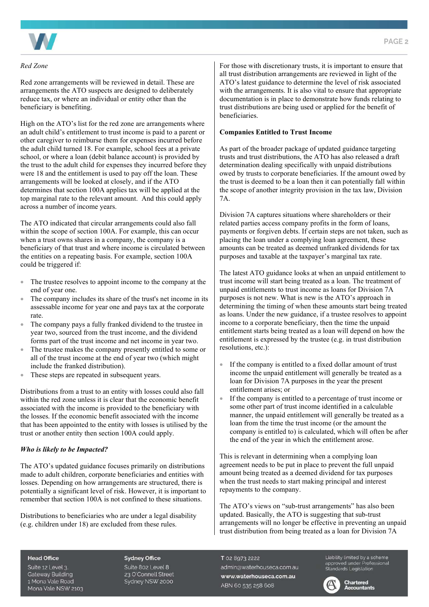

#### Red Zone

Red zone arrangements will be reviewed in detail. These are arrangements the ATO suspects are designed to deliberately reduce tax, or where an individual or entity other than the beneficiary is benefiting.

High on the ATO's list for the red zone are arrangements where an adult child's entitlement to trust income is paid to a parent or other caregiver to reimburse them for expenses incurred before the adult child turned 18. For example, school fees at a private school, or where a loan (debit balance account) is provided by the trust to the adult child for expenses they incurred before they were 18 and the entitlement is used to pay off the loan. These arrangements will be looked at closely, and if the ATO determines that section 100A applies tax will be applied at the top marginal rate to the relevant amount. And this could apply across a number of income years.

The ATO indicated that circular arrangements could also fall within the scope of section 100A. For example, this can occur when a trust owns shares in a company, the company is a beneficiary of that trust and where income is circulated between the entities on a repeating basis. For example, section 100A could be triggered if:

- The trustee resolves to appoint income to the company at the end of year one.
- The company includes its share of the trust's net income in its assessable income for year one and pays tax at the corporate rate.
- The company pays a fully franked dividend to the trustee in year two, sourced from the trust income, and the dividend forms part of the trust income and net income in year two.
- The trustee makes the company presently entitled to some or all of the trust income at the end of year two (which might include the franked distribution).
- These steps are repeated in subsequent years.

Distributions from a trust to an entity with losses could also fall within the red zone unless it is clear that the economic benefit associated with the income is provided to the beneficiary with the losses. If the economic benefit associated with the income that has been appointed to the entity with losses is utilised by the trust or another entity then section 100A could apply.

#### Who is likely to be Impacted?

The ATO's updated guidance focuses primarily on distributions made to adult children, corporate beneficiaries and entities with losses. Depending on how arrangements are structured, there is potentially a significant level of risk. However, it is important to remember that section 100A is not confined to these situations.

Distributions to beneficiaries who are under a legal disability (e.g. children under 18) are excluded from these rules.

For those with discretionary trusts, it is important to ensure that all trust distribution arrangements are reviewed in light of the ATO's latest guidance to determine the level of risk associated with the arrangements. It is also vital to ensure that appropriate documentation is in place to demonstrate how funds relating to trust distributions are being used or applied for the benefit of beneficiaries.

#### Companies Entitled to Trust Income

As part of the broader package of updated guidance targeting trusts and trust distributions, the ATO has also released a draft determination dealing specifically with unpaid distributions owed by trusts to corporate beneficiaries. If the amount owed by the trust is deemed to be a loan then it can potentially fall within the scope of another integrity provision in the tax law, Division 7A.

Division 7A captures situations where shareholders or their related parties access company profits in the form of loans, payments or forgiven debts. If certain steps are not taken, such as placing the loan under a complying loan agreement, these amounts can be treated as deemed unfranked dividends for tax purposes and taxable at the taxpayer's marginal tax rate.

The latest ATO guidance looks at when an unpaid entitlement to trust income will start being treated as a loan. The treatment of unpaid entitlements to trust income as loans for Division 7A purposes is not new. What is new is the ATO's approach in determining the timing of when these amounts start being treated as loans. Under the new guidance, if a trustee resolves to appoint income to a corporate beneficiary, then the time the unpaid entitlement starts being treated as a loan will depend on how the entitlement is expressed by the trustee (e.g. in trust distribution resolutions, etc.):

- If the company is entitled to a fixed dollar amount of trust income the unpaid entitlement will generally be treated as a loan for Division 7A purposes in the year the present entitlement arises; or
- If the company is entitled to a percentage of trust income or some other part of trust income identified in a calculable manner, the unpaid entitlement will generally be treated as a loan from the time the trust income (or the amount the company is entitled to) is calculated, which will often be after the end of the year in which the entitlement arose.

This is relevant in determining when a complying loan agreement needs to be put in place to prevent the full unpaid amount being treated as a deemed dividend for tax purposes when the trust needs to start making principal and interest repayments to the company.

The ATO's views on "sub-trust arrangements" has also been updated. Basically, the ATO is suggesting that sub-trust arrangements will no longer be effective in preventing an unpaid trust distribution from being treated as a loan for Division 7A

#### **Head Office**

Suite 12 Level 3. **Gateway Building** 1 Mona Vale Road Mona Vale NSW 2103 **Sydney Office** Suite 802 Level 8 23 O'Connell Street

Sydney NSW 2000

T 02 8973 2222 admin@waterhouseca.com.au www.waterhouseca.com.au ABN 60 535 258 608

Liability limited by a scheme approved under Professional<br>Standards Legislation

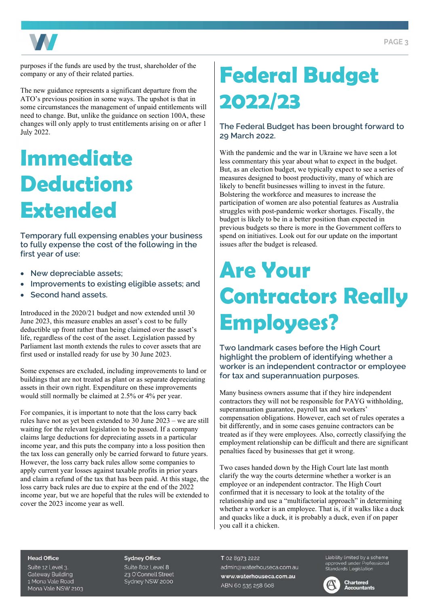

purposes if the funds are used by the trust, shareholder of the company or any of their related parties.

The new guidance represents a significant departure from the ATO's previous position in some ways. The upshot is that in some circumstances the management of unpaid entitlements will need to change. But, unlike the guidance on section 100A, these changes will only apply to trust entitlements arising on or after 1 July 2022.

# Immediate **Deductions** Extended

Temporary full expensing enables your business to fully expense the cost of the following in the first year of use:

- New depreciable assets;
- Improvements to existing eligible assets; and
- Second hand assets.

Introduced in the 2020/21 budget and now extended until 30 June 2023, this measure enables an asset's cost to be fully deductible up front rather than being claimed over the asset's life, regardless of the cost of the asset. Legislation passed by Parliament last month extends the rules to cover assets that are first used or installed ready for use by 30 June 2023.

Some expenses are excluded, including improvements to land or buildings that are not treated as plant or as separate depreciating assets in their own right. Expenditure on these improvements would still normally be claimed at 2.5% or 4% per year.

For companies, it is important to note that the loss carry back rules have not as yet been extended to 30 June 2023 – we are still waiting for the relevant legislation to be passed. If a company claims large deductions for depreciating assets in a particular income year, and this puts the company into a loss position then the tax loss can generally only be carried forward to future years. However, the loss carry back rules allow some companies to apply current year losses against taxable profits in prior years and claim a refund of the tax that has been paid. At this stage, the loss carry back rules are due to expire at the end of the 2022 income year, but we are hopeful that the rules will be extended to cover the 2023 income year as well.

### Federal Budget 2022/23

The Federal Budget has been brought forward to 29 March 2022.

With the pandemic and the war in Ukraine we have seen a lot less commentary this year about what to expect in the budget. But, as an election budget, we typically expect to see a series of measures designed to boost productivity, many of which are likely to benefit businesses willing to invest in the future. Bolstering the workforce and measures to increase the participation of women are also potential features as Australia struggles with post-pandemic worker shortages. Fiscally, the budget is likely to be in a better position than expected in previous budgets so there is more in the Government coffers to spend on initiatives. Look out for our update on the important issues after the budget is released.

# Are Your Contractors Really Employees?

Two landmark cases before the High Court highlight the problem of identifying whether a worker is an independent contractor or employee for tax and superannuation purposes.

Many business owners assume that if they hire independent contractors they will not be responsible for PAYG withholding, superannuation guarantee, payroll tax and workers' compensation obligations. However, each set of rules operates a bit differently, and in some cases genuine contractors can be treated as if they were employees. Also, correctly classifying the employment relationship can be difficult and there are significant penalties faced by businesses that get it wrong.

Two cases handed down by the High Court late last month clarify the way the courts determine whether a worker is an employee or an independent contractor. The High Court confirmed that it is necessary to look at the totality of the relationship and use a "multifactorial approach" in determining whether a worker is an employee. That is, if it walks like a duck and quacks like a duck, it is probably a duck, even if on paper you call it a chicken.

#### **Head Office**

Suite 12 Level 3. **Gateway Building** 1 Mona Vale Road Mona Vale NSW 2103

#### **Sydney Office**

Suite 802 Level 8 23 O'Connell Street Sydney NSW 2000 T 02 8973 2222 admin@waterhouseca.com.au www.waterhouseca.com.au ABN 60 535 258 608

Liability limited by a scheme Clabitity timited by a scrieme<br>approved under Professional<br>Standards Legislation